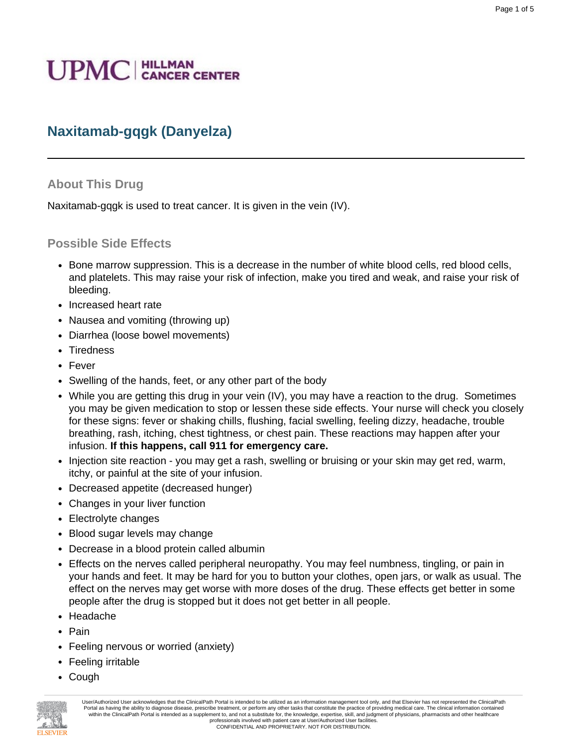# **UPMC** | HILLMAN

# **Naxitamab-gqgk (Danyelza)**

#### **About This Drug**

Naxitamab-gqgk is used to treat cancer. It is given in the vein (IV).

#### **Possible Side Effects**

- Bone marrow suppression. This is a decrease in the number of white blood cells, red blood cells, and platelets. This may raise your risk of infection, make you tired and weak, and raise your risk of bleeding.
- Increased heart rate
- Nausea and vomiting (throwing up)
- Diarrhea (loose bowel movements)
- Tiredness
- Fever
- Swelling of the hands, feet, or any other part of the body
- While you are getting this drug in your vein (IV), you may have a reaction to the drug. Sometimes you may be given medication to stop or lessen these side effects. Your nurse will check you closely for these signs: fever or shaking chills, flushing, facial swelling, feeling dizzy, headache, trouble breathing, rash, itching, chest tightness, or chest pain. These reactions may happen after your infusion. **If this happens, call 911 for emergency care.**
- Injection site reaction you may get a rash, swelling or bruising or your skin may get red, warm, itchy, or painful at the site of your infusion.
- Decreased appetite (decreased hunger)
- Changes in your liver function
- Electrolyte changes
- Blood sugar levels may change
- Decrease in a blood protein called albumin
- Effects on the nerves called peripheral neuropathy. You may feel numbness, tingling, or pain in your hands and feet. It may be hard for you to button your clothes, open jars, or walk as usual. The effect on the nerves may get worse with more doses of the drug. These effects get better in some people after the drug is stopped but it does not get better in all people.
- Headache
- Pain
- Feeling nervous or worried (anxiety)
- Feeling irritable
- Cough



User/Authorized User acknowledges that the ClinicalPath Portal is intended to be utilized as an information management tool only, and that Elsevier has not represented the ClinicalPath Portal as having the ability to diagnose disease, prescribe treatment, or perform any other tasks that constitute the practice of providing medical care. The clinical information contained within the ClinicalPath Portal is intended as a supplement to, and not a substitute for, the knowledge, expertise, skill, and judgment of physicians, pharmacists and other healthcare professionals involved with patient care at User/Authorized User facilities. CONFIDENTIAL AND PROPRIETARY. NOT FOR DISTRIBUTION.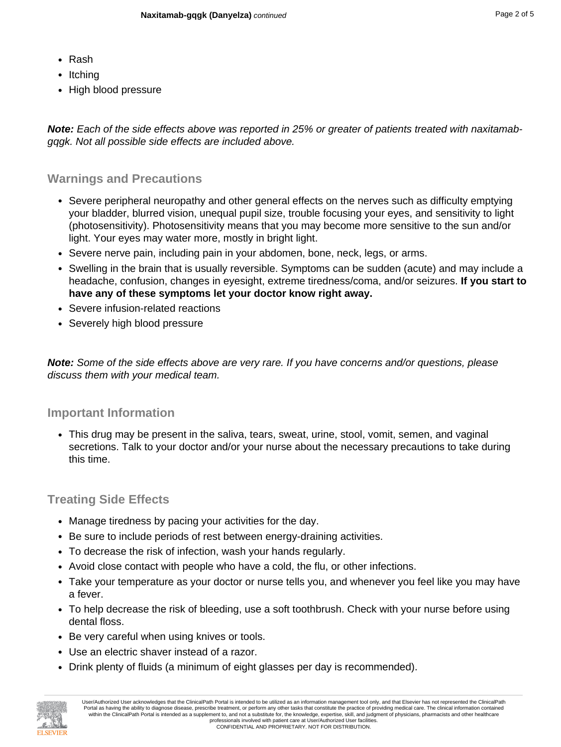- Rash
- Itching
- High blood pressure

**Note:** Each of the side effects above was reported in 25% or greater of patients treated with naxitamabgqgk. Not all possible side effects are included above.

#### **Warnings and Precautions**

- Severe peripheral neuropathy and other general effects on the nerves such as difficulty emptying your bladder, blurred vision, unequal pupil size, trouble focusing your eyes, and sensitivity to light (photosensitivity). Photosensitivity means that you may become more sensitive to the sun and/or light. Your eyes may water more, mostly in bright light.
- Severe nerve pain, including pain in your abdomen, bone, neck, legs, or arms.
- Swelling in the brain that is usually reversible. Symptoms can be sudden (acute) and may include a headache, confusion, changes in eyesight, extreme tiredness/coma, and/or seizures. **If you start to have any of these symptoms let your doctor know right away.**
- Severe infusion-related reactions
- Severely high blood pressure

**Note:** Some of the side effects above are very rare. If you have concerns and/or questions, please discuss them with your medical team.

#### **Important Information**

• This drug may be present in the saliva, tears, sweat, urine, stool, vomit, semen, and vaginal secretions. Talk to your doctor and/or your nurse about the necessary precautions to take during this time.

#### **Treating Side Effects**

- Manage tiredness by pacing your activities for the day.
- Be sure to include periods of rest between energy-draining activities.
- To decrease the risk of infection, wash your hands regularly.
- Avoid close contact with people who have a cold, the flu, or other infections.
- Take your temperature as your doctor or nurse tells you, and whenever you feel like you may have a fever.
- To help decrease the risk of bleeding, use a soft toothbrush. Check with your nurse before using dental floss.
- Be very careful when using knives or tools.
- Use an electric shaver instead of a razor.
- Drink plenty of fluids (a minimum of eight glasses per day is recommended).



User/Authorized User acknowledges that the ClinicalPath Portal is intended to be utilized as an information management tool only, and that Elsevier has not represented the ClinicalPath Portal as having the ability to diagnose disease, prescribe treatment, or perform any other tasks that constitute the practice of providing medical care. The clinical information contained within the ClinicalPath Portal is intended as a supplement to, and not a substitute for, the knowledge, expertise, skill, and judgment of physicians, pharmacists and other healthcare professionals involved with patient care at User/Authorized User facilities. CONFIDENTIAL AND PROPRIETARY. NOT FOR DISTRIBUTION.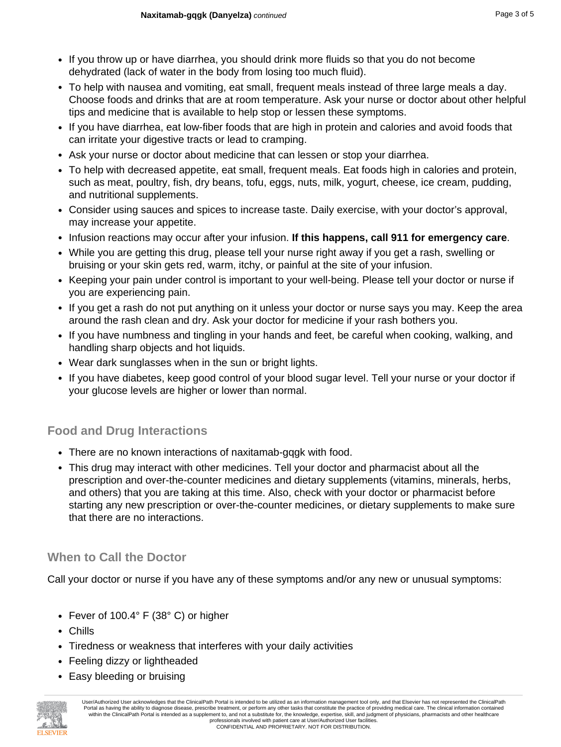- If you throw up or have diarrhea, you should drink more fluids so that you do not become dehydrated (lack of water in the body from losing too much fluid).
- To help with nausea and vomiting, eat small, frequent meals instead of three large meals a day. Choose foods and drinks that are at room temperature. Ask your nurse or doctor about other helpful tips and medicine that is available to help stop or lessen these symptoms.
- If you have diarrhea, eat low-fiber foods that are high in protein and calories and avoid foods that can irritate your digestive tracts or lead to cramping.
- Ask your nurse or doctor about medicine that can lessen or stop your diarrhea.
- To help with decreased appetite, eat small, frequent meals. Eat foods high in calories and protein, such as meat, poultry, fish, dry beans, tofu, eggs, nuts, milk, yogurt, cheese, ice cream, pudding, and nutritional supplements.
- Consider using sauces and spices to increase taste. Daily exercise, with your doctor's approval, may increase your appetite.
- Infusion reactions may occur after your infusion. **If this happens, call 911 for emergency care**.
- While you are getting this drug, please tell your nurse right away if you get a rash, swelling or bruising or your skin gets red, warm, itchy, or painful at the site of your infusion.
- Keeping your pain under control is important to your well-being. Please tell your doctor or nurse if you are experiencing pain.
- If you get a rash do not put anything on it unless your doctor or nurse says you may. Keep the area around the rash clean and dry. Ask your doctor for medicine if your rash bothers you.
- If you have numbness and tingling in your hands and feet, be careful when cooking, walking, and handling sharp objects and hot liquids.
- Wear dark sunglasses when in the sun or bright lights.
- If you have diabetes, keep good control of your blood sugar level. Tell your nurse or your doctor if your glucose levels are higher or lower than normal.

### **Food and Drug Interactions**

- There are no known interactions of naxitamab-gqgk with food.
- This drug may interact with other medicines. Tell your doctor and pharmacist about all the prescription and over-the-counter medicines and dietary supplements (vitamins, minerals, herbs, and others) that you are taking at this time. Also, check with your doctor or pharmacist before starting any new prescription or over-the-counter medicines, or dietary supplements to make sure that there are no interactions.

## **When to Call the Doctor**

Call your doctor or nurse if you have any of these symptoms and/or any new or unusual symptoms:

- Fever of 100.4° F (38° C) or higher
- Chills
- Tiredness or weakness that interferes with your daily activities
- Feeling dizzy or lightheaded
- Easy bleeding or bruising



User/Authorized User acknowledges that the ClinicalPath Portal is intended to be utilized as an information management tool only, and that Elsevier has not represented the ClinicalPath Portal as having the ability to diagnose disease, prescribe treatment, or perform any other tasks that constitute the practice of providing medical care. The clinical information contained within the ClinicalPath Portal is intended as a supplement to, and not a substitute for, the knowledge, expertise, skill, and judgment of physicians, pharmacists and other healthcare professionals involved with patient care at User/Authorized User facilities. CONFIDENTIAL AND PROPRIETARY. NOT FOR DISTRIBUTION.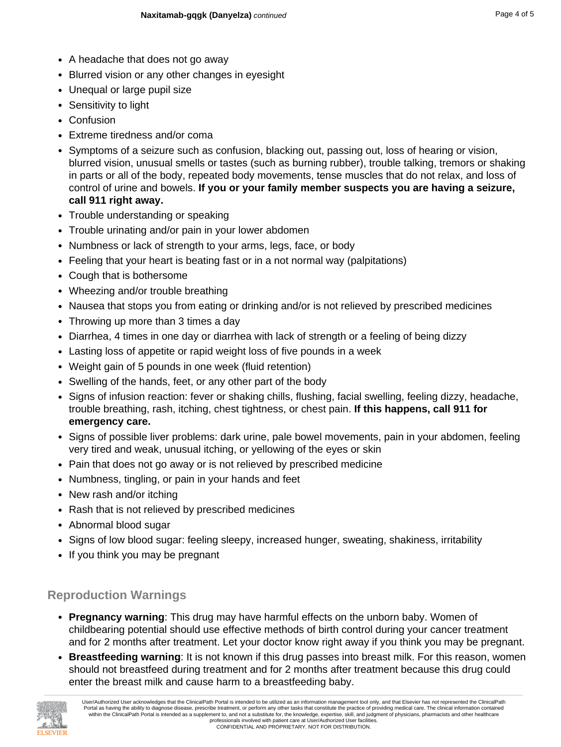- A headache that does not go away
- Blurred vision or any other changes in eyesight
- Unequal or large pupil size
- Sensitivity to light
- Confusion
- Extreme tiredness and/or coma
- Symptoms of a seizure such as confusion, blacking out, passing out, loss of hearing or vision, blurred vision, unusual smells or tastes (such as burning rubber), trouble talking, tremors or shaking in parts or all of the body, repeated body movements, tense muscles that do not relax, and loss of control of urine and bowels. **If you or your family member suspects you are having a seizure, call 911 right away.**
- Trouble understanding or speaking
- Trouble urinating and/or pain in your lower abdomen
- Numbness or lack of strength to your arms, legs, face, or body
- Feeling that your heart is beating fast or in a not normal way (palpitations)
- Cough that is bothersome
- Wheezing and/or trouble breathing
- Nausea that stops you from eating or drinking and/or is not relieved by prescribed medicines
- Throwing up more than 3 times a day
- Diarrhea, 4 times in one day or diarrhea with lack of strength or a feeling of being dizzy
- Lasting loss of appetite or rapid weight loss of five pounds in a week
- Weight gain of 5 pounds in one week (fluid retention)
- Swelling of the hands, feet, or any other part of the body
- Signs of infusion reaction: fever or shaking chills, flushing, facial swelling, feeling dizzy, headache, trouble breathing, rash, itching, chest tightness, or chest pain. **If this happens, call 911 for emergency care.**
- Signs of possible liver problems: dark urine, pale bowel movements, pain in your abdomen, feeling very tired and weak, unusual itching, or yellowing of the eyes or skin
- Pain that does not go away or is not relieved by prescribed medicine
- Numbness, tingling, or pain in your hands and feet
- New rash and/or itching
- Rash that is not relieved by prescribed medicines
- Abnormal blood sugar
- Signs of low blood sugar: feeling sleepy, increased hunger, sweating, shakiness, irritability
- If you think you may be pregnant

## **Reproduction Warnings**

- **Pregnancy warning**: This drug may have harmful effects on the unborn baby. Women of childbearing potential should use effective methods of birth control during your cancer treatment and for 2 months after treatment. Let your doctor know right away if you think you may be pregnant.
- **Breastfeeding warning**: It is not known if this drug passes into breast milk. For this reason, women should not breastfeed during treatment and for 2 months after treatment because this drug could enter the breast milk and cause harm to a breastfeeding baby.